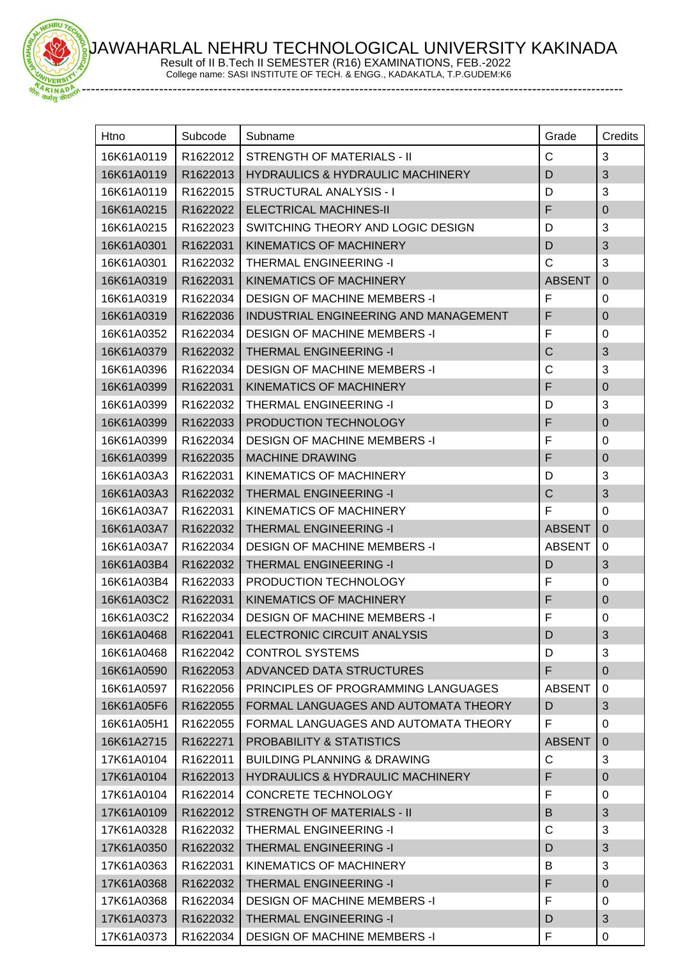JAWAHARLAL NEHRU TECHNOLOGICAL UNIVERSITY KAKINADA

Result of II B.Tech II SEMESTER (R16) EXAMINATIONS, FEB.-2022 College name: SASI INSTITUTE OF TECH. & ENGG., KADAKATLA, T.P.GUDEM:K6

EHRU

-----------------------------------------------------------------------------------------------------------------------

| Htno       | Subcode  | Subname                                     | Grade         | Credits          |
|------------|----------|---------------------------------------------|---------------|------------------|
| 16K61A0119 | R1622012 | STRENGTH OF MATERIALS - II                  | C             | 3                |
| 16K61A0119 | R1622013 | <b>HYDRAULICS &amp; HYDRAULIC MACHINERY</b> | D             | 3                |
| 16K61A0119 | R1622015 | STRUCTURAL ANALYSIS - I                     | D             | 3                |
| 16K61A0215 | R1622022 | <b>ELECTRICAL MACHINES-II</b>               | F             | $\mathbf 0$      |
| 16K61A0215 | R1622023 | SWITCHING THEORY AND LOGIC DESIGN           | D             | 3                |
| 16K61A0301 | R1622031 | KINEMATICS OF MACHINERY                     | D             | 3                |
| 16K61A0301 | R1622032 | <b>THERMAL ENGINEERING -I</b>               | $\mathsf{C}$  | 3                |
| 16K61A0319 | R1622031 | KINEMATICS OF MACHINERY                     | <b>ABSENT</b> | $\overline{0}$   |
| 16K61A0319 | R1622034 | <b>DESIGN OF MACHINE MEMBERS -I</b>         | F             | $\pmb{0}$        |
| 16K61A0319 | R1622036 | INDUSTRIAL ENGINEERING AND MANAGEMENT       | F             | 0                |
| 16K61A0352 | R1622034 | <b>DESIGN OF MACHINE MEMBERS -I</b>         | F             | $\mathbf 0$      |
| 16K61A0379 | R1622032 | <b>THERMAL ENGINEERING -I</b>               | $\mathsf C$   | 3                |
| 16K61A0396 | R1622034 | <b>DESIGN OF MACHINE MEMBERS -I</b>         | C             | 3                |
| 16K61A0399 | R1622031 | KINEMATICS OF MACHINERY                     | F             | $\mathbf 0$      |
| 16K61A0399 | R1622032 | <b>THERMAL ENGINEERING -I</b>               | D             | 3                |
| 16K61A0399 | R1622033 | PRODUCTION TECHNOLOGY                       | F             | $\pmb{0}$        |
| 16K61A0399 | R1622034 | <b>DESIGN OF MACHINE MEMBERS -I</b>         | F             | 0                |
| 16K61A0399 | R1622035 | <b>MACHINE DRAWING</b>                      | F             | $\pmb{0}$        |
| 16K61A03A3 | R1622031 | KINEMATICS OF MACHINERY                     | D             | 3                |
| 16K61A03A3 | R1622032 | <b>THERMAL ENGINEERING -I</b>               | $\mathsf C$   | 3                |
| 16K61A03A7 | R1622031 | KINEMATICS OF MACHINERY                     | F             | 0                |
| 16K61A03A7 | R1622032 | <b>THERMAL ENGINEERING -I</b>               | <b>ABSENT</b> | $\overline{0}$   |
| 16K61A03A7 | R1622034 | <b>DESIGN OF MACHINE MEMBERS -I</b>         | <b>ABSENT</b> | 0                |
| 16K61A03B4 | R1622032 | <b>THERMAL ENGINEERING -I</b>               | D             | 3                |
| 16K61A03B4 | R1622033 | PRODUCTION TECHNOLOGY                       | F             | 0                |
| 16K61A03C2 | R1622031 | <b>KINEMATICS OF MACHINERY</b>              | F             | $\boldsymbol{0}$ |
| 16K61A03C2 | R1622034 | <b>DESIGN OF MACHINE MEMBERS -I</b>         | F             | $\pmb{0}$        |
| 16K61A0468 | R1622041 | ELECTRONIC CIRCUIT ANALYSIS                 | D             | 3                |
| 16K61A0468 | R1622042 | <b>CONTROL SYSTEMS</b>                      | D             | 3                |
| 16K61A0590 | R1622053 | ADVANCED DATA STRUCTURES                    | F             | $\mathbf 0$      |
| 16K61A0597 | R1622056 | PRINCIPLES OF PROGRAMMING LANGUAGES         | <b>ABSENT</b> | $\mathbf 0$      |
| 16K61A05F6 | R1622055 | FORMAL LANGUAGES AND AUTOMATA THEORY        | D             | 3                |
| 16K61A05H1 | R1622055 | FORMAL LANGUAGES AND AUTOMATA THEORY        | F             | 0                |
| 16K61A2715 | R1622271 | PROBABILITY & STATISTICS                    | <b>ABSENT</b> | $\mathbf 0$      |
| 17K61A0104 | R1622011 | BUILDING PLANNING & DRAWING                 | С             | 3                |
| 17K61A0104 | R1622013 | <b>HYDRAULICS &amp; HYDRAULIC MACHINERY</b> | F             | $\mathbf{0}$     |
| 17K61A0104 | R1622014 | CONCRETE TECHNOLOGY                         | F             | 0                |
| 17K61A0109 | R1622012 | <b>STRENGTH OF MATERIALS - II</b>           | B             | 3                |
| 17K61A0328 | R1622032 | <b>THERMAL ENGINEERING -I</b>               | C             | 3                |
| 17K61A0350 | R1622032 | <b>THERMAL ENGINEERING -I</b>               | D             | 3                |
| 17K61A0363 | R1622031 | KINEMATICS OF MACHINERY                     | В             | 3                |
| 17K61A0368 | R1622032 | <b>THERMAL ENGINEERING -I</b>               | F             | 0                |
| 17K61A0368 | R1622034 | <b>DESIGN OF MACHINE MEMBERS -I</b>         | F             | 0                |
| 17K61A0373 | R1622032 | <b>THERMAL ENGINEERING -I</b>               | D             | $\sqrt{3}$       |
| 17K61A0373 | R1622034 | <b>DESIGN OF MACHINE MEMBERS -I</b>         | F             | 0                |